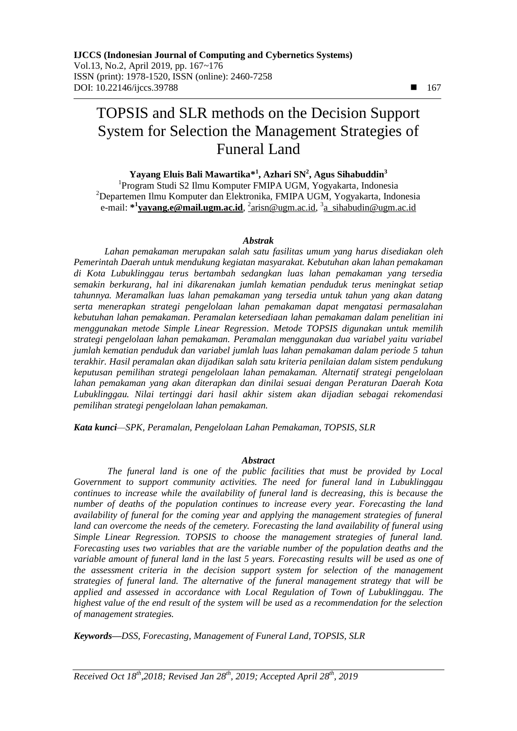# TOPSIS and SLR methods on the Decision Support System for Selection the Management Strategies of Funeral Land

**Yayang Eluis Bali Mawartika\* 1 , Azhari SN<sup>2</sup> , Agus Sihabuddin<sup>3</sup>**

1 Program Studi S2 Ilmu Komputer FMIPA UGM, Yogyakarta, Indonesia <sup>2</sup>Departemen Ilmu Komputer dan Elektronika, FMIPA UGM, Yogyakarta, Indonesia e-mail: **\* 1 yayang.e@mail.ugm.ac.id**, 2 [arisn@ugm.ac.id,](mailto:2arisn@ugm.ac.id) 3 a\_sihabudin@ugm.ac.id

#### *Abstrak*

*Lahan pemakaman merupakan salah satu fasilitas umum yang harus disediakan oleh Pemerintah Daerah untuk mendukung kegiatan masyarakat. Kebutuhan akan lahan pemakaman di Kota Lubuklinggau terus bertambah sedangkan luas lahan pemakaman yang tersedia semakin berkurang, hal ini dikarenakan jumlah kematian penduduk terus meningkat setiap tahunnya. Meramalkan luas lahan pemakaman yang tersedia untuk tahun yang akan datang serta menerapkan strategi pengelolaan lahan pemakaman dapat mengatasi permasalahan kebutuhan lahan pemakaman. Peramalan ketersediaan lahan pemakaman dalam penelitian ini menggunakan metode Simple Linear Regression. Metode TOPSIS digunakan untuk memilih strategi pengelolaan lahan pemakaman. Peramalan menggunakan dua variabel yaitu variabel jumlah kematian penduduk dan variabel jumlah luas lahan pemakaman dalam periode 5 tahun terakhir. Hasil peramalan akan dijadikan salah satu kriteria penilaian dalam sistem pendukung keputusan pemilihan strategi pengelolaan lahan pemakaman. Alternatif strategi pengelolaan lahan pemakaman yang akan diterapkan dan dinilai sesuai dengan Peraturan Daerah Kota Lubuklinggau. Nilai tertinggi dari hasil akhir sistem akan dijadian sebagai rekomendasi pemilihan strategi pengelolaan lahan pemakaman.*

*Kata kunci—SPK, Peramalan, Pengelolaan Lahan Pemakaman, TOPSIS, SLR*

#### *Abstract*

*The funeral land is one of the public facilities that must be provided by Local Government to support community activities. The need for funeral land in Lubuklinggau continues to increase while the availability of funeral land is decreasing, this is because the number of deaths of the population continues to increase every year. Forecasting the land availability of funeral for the coming year and applying the management strategies of funeral land can overcome the needs of the cemetery. Forecasting the land availability of funeral using Simple Linear Regression. TOPSIS to choose the management strategies of funeral land. Forecasting uses two variables that are the variable number of the population deaths and the variable amount of funeral land in the last 5 years. Forecasting results will be used as one of the assessment criteria in the decision support system for selection of the management strategies of funeral land. The alternative of the funeral management strategy that will be applied and assessed in accordance with Local Regulation of Town of Lubuklinggau. The highest value of the end result of the system will be used as a recommendation for the selection of management strategies.* 

*Keywords—DSS, Forecasting, Management of Funeral Land, TOPSIS, SLR*

*Received Oct 18th,2018; Revised Jan 28th, 2019; Accepted April 28th, 2019*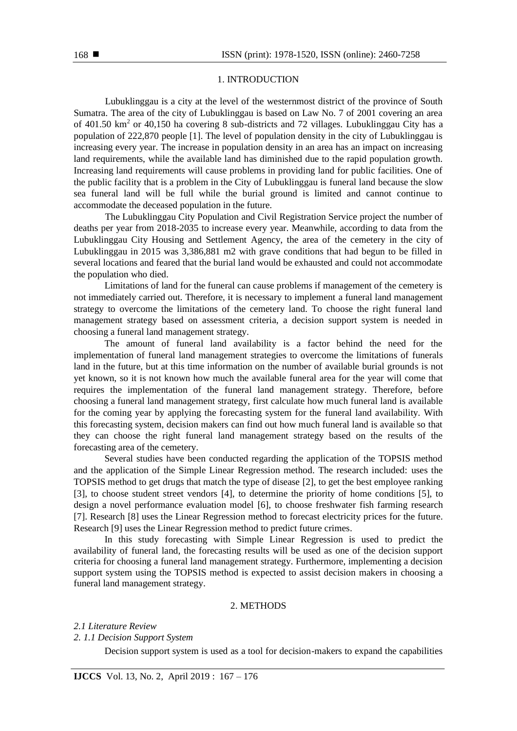### 1. INTRODUCTION

Lubuklinggau is a city at the level of the westernmost district of the province of South Sumatra. The area of the city of Lubuklinggau is based on Law No. 7 of 2001 covering an area of  $401.50 \text{ km}^2$  or  $40,150$  ha covering 8 sub-districts and 72 villages. Lubuklinggau City has a population of 222,870 people [1]. The level of population density in the city of Lubuklinggau is increasing every year. The increase in population density in an area has an impact on increasing land requirements, while the available land has diminished due to the rapid population growth. Increasing land requirements will cause problems in providing land for public facilities. One of the public facility that is a problem in the City of Lubuklinggau is funeral land because the slow sea funeral land will be full while the burial ground is limited and cannot continue to accommodate the deceased population in the future.

The Lubuklinggau City Population and Civil Registration Service project the number of deaths per year from 2018-2035 to increase every year. Meanwhile, according to data from the Lubuklinggau City Housing and Settlement Agency, the area of the cemetery in the city of Lubuklinggau in 2015 was 3,386,881 m2 with grave conditions that had begun to be filled in several locations and feared that the burial land would be exhausted and could not accommodate the population who died.

Limitations of land for the funeral can cause problems if management of the cemetery is not immediately carried out. Therefore, it is necessary to implement a funeral land management strategy to overcome the limitations of the cemetery land. To choose the right funeral land management strategy based on assessment criteria, a decision support system is needed in choosing a funeral land management strategy.

The amount of funeral land availability is a factor behind the need for the implementation of funeral land management strategies to overcome the limitations of funerals land in the future, but at this time information on the number of available burial grounds is not yet known, so it is not known how much the available funeral area for the year will come that requires the implementation of the funeral land management strategy. Therefore, before choosing a funeral land management strategy, first calculate how much funeral land is available for the coming year by applying the forecasting system for the funeral land availability. With this forecasting system, decision makers can find out how much funeral land is available so that they can choose the right funeral land management strategy based on the results of the forecasting area of the cemetery.

Several studies have been conducted regarding the application of the TOPSIS method and the application of the Simple Linear Regression method. The research included: uses the TOPSIS method to get drugs that match the type of disease [2], to get the best employee ranking [3], to choose student street vendors [4], to determine the priority of home conditions [5], to design a novel performance evaluation model [6], to choose freshwater fish farming research [7]. Research [8] uses the Linear Regression method to forecast electricity prices for the future. Research [9] uses the Linear Regression method to predict future crimes.

In this study forecasting with Simple Linear Regression is used to predict the availability of funeral land, the forecasting results will be used as one of the decision support criteria for choosing a funeral land management strategy. Furthermore, implementing a decision support system using the TOPSIS method is expected to assist decision makers in choosing a funeral land management strategy.

## 2. METHODS

*2.1 Literature Review*

# *2. 1.1 Decision Support System*

Decision support system is used as a tool for decision-makers to expand the capabilities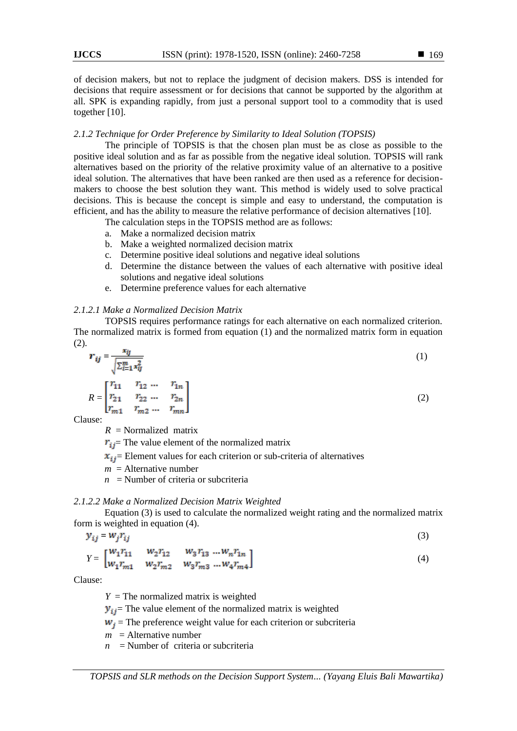of decision makers, but not to replace the judgment of decision makers. DSS is intended for decisions that require assessment or for decisions that cannot be supported by the algorithm at all. SPK is expanding rapidly, from just a personal support tool to a commodity that is used together [10].

#### *2.1.2 Technique for Order Preference by Similarity to Ideal Solution (TOPSIS)*

The principle of TOPSIS is that the chosen plan must be as close as possible to the positive ideal solution and as far as possible from the negative ideal solution. TOPSIS will rank alternatives based on the priority of the relative proximity value of an alternative to a positive ideal solution. The alternatives that have been ranked are then used as a reference for decisionmakers to choose the best solution they want. This method is widely used to solve practical decisions. This is because the concept is simple and easy to understand, the computation is efficient, and has the ability to measure the relative performance of decision alternatives [10].

The calculation steps in the TOPSIS method are as follows:

- a. Make a normalized decision matrix
- b. Make a weighted normalized decision matrix
- c. Determine positive ideal solutions and negative ideal solutions
- d. Determine the distance between the values of each alternative with positive ideal solutions and negative ideal solutions
- e. Determine preference values for each alternative

# *2.1.2.1 Make a Normalized Decision Matrix*

TOPSIS requires performance ratings for each alternative on each normalized criterion. The normalized matrix is formed from equation (1) and the normalized matrix form in equation (2).

$$
r_{ij} = \frac{x_{ij}}{\sqrt{\sum_{i=1}^{m} x_{ij}^2}}
$$
 (1)

$$
R = \begin{bmatrix} r_{11} & r_{12} & \dots & r_{1n} \\ r_{21} & r_{22} & \dots & r_{2n} \\ r_{m1} & r_{m2} & \dots & r_{mn} \end{bmatrix}
$$
 (2)

Clause:

 $R =$ Normalized matrix

 $r_{ij}$  The value element of the normalized matrix

 $x_{ij}$  Element values for each criterion or sub-criteria of alternatives

 $m =$ Alternative number

 $n =$  Number of criteria or subcriteria

#### *2.1.2.2 Make a Normalized Decision Matrix Weighted*

Equation (3) is used to calculate the normalized weight rating and the normalized matrix form is weighted in equation (4).

$$
y_{ij} = w_j r_{ij} \tag{3}
$$

$$
Y = \begin{bmatrix} W_1 r_{11} & W_2 r_{12} & W_3 r_{13} & \dots W_n r_{1n} \\ W_1 r_{m1} & W_2 r_{m2} & W_3 r_{m3} & \dots W_4 r_{m4} \end{bmatrix}
$$
 (4)

Clause:

 $Y =$ The normalized matrix is weighted

 $y_{ij}$  The value element of the normalized matrix is weighted

 $w_i$  = The preference weight value for each criterion or subcriteria

 $m =$  Alternative number

 $n =$ Number of criteria or subcriteria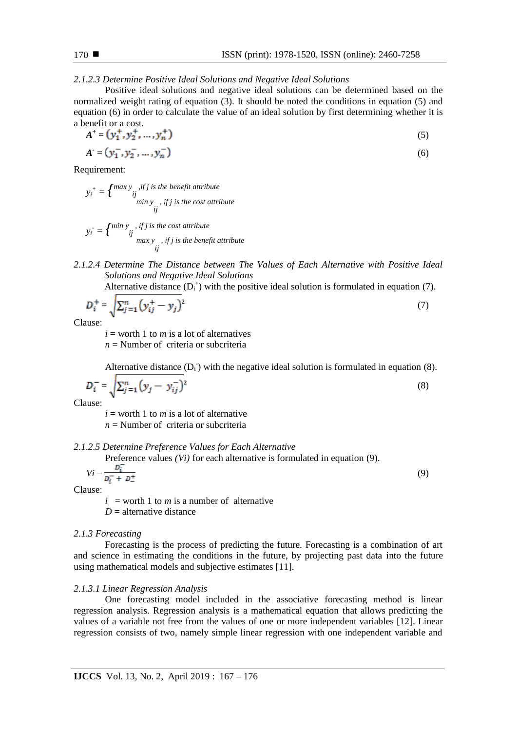*2.1.2.3 Determine Positive Ideal Solutions and Negative Ideal Solutions*

Positive ideal solutions and negative ideal solutions can be determined based on the normalized weight rating of equation (3). It should be noted the conditions in equation (5) and equation (6) in order to calculate the value of an ideal solution by first determining whether it is a benefit or a cost.

$$
A^+ = (y_1^+, y_2^+, \dots, y_n^+) \tag{5}
$$

$$
A = (y_1^-, y_2^-, \dots, y_n^-) \tag{6}
$$

Requirement:

$$
y_i^+ = \n\begin{cases} \n\max y & \text{if } j \text{ is the benefit attribute} \\ \n\text{if} & \text{min } y \\ \n\text{if } j \text{ is the cost attribute} \n\end{cases}
$$

$$
y_i = \begin{cases} \min y, & if j \text{ is the cost attribute} \\ \text{if } \max y, & if j \text{ is the benefit attribute} \\ \text{if } \text{if } j \text{ is the benefit attribute} \end{cases}
$$

*2.1.2.4 Determine The Distance between The Values of Each Alternative with Positive Ideal Solutions and Negative Ideal Solutions*

Alternative distance  $(D_i^+)$  with the positive ideal solution is formulated in equation (7).

$$
D_i^+ = \sqrt{\sum_{j=1}^n (y_{ij}^+ - y_j)^2}
$$
 (7)

Clause:

 $i =$  worth 1 to *m* is a lot of alternatives  $n =$ Number of criteria or subcriteria

Alternative distance  $(D_i)$  with the negative ideal solution is formulated in equation (8).

$$
D_i^- = \sqrt{\sum_{j=1}^n (y_j - y_{ij}^-)^2}
$$
 (8)

Clause:

 $i =$  worth 1 to *m* is a lot of alternative

 $n =$  Number of criteria or subcriteria

*2.1.2.5 Determine Preference Values for Each Alternative* 

Preference values *(Vi)* for each alternative is formulated in equation (9).

$$
Vi = \frac{D_i^-}{D_i^- + D_-^+}
$$
\n<sup>(9)</sup>

Clause:

 $i =$  worth 1 to *m* is a number of alternative  $D =$  alternative distance

#### *2.1.3 Forecasting*

Forecasting is the process of predicting the future. Forecasting is a combination of art and science in estimating the conditions in the future, by projecting past data into the future using mathematical models and subjective estimates [11].

#### *2.1.3.1 Linear Regression Analysis*

One forecasting model included in the associative forecasting method is linear regression analysis. Regression analysis is a mathematical equation that allows predicting the values of a variable not free from the values of one or more independent variables [12]. Linear regression consists of two, namely simple linear regression with one independent variable and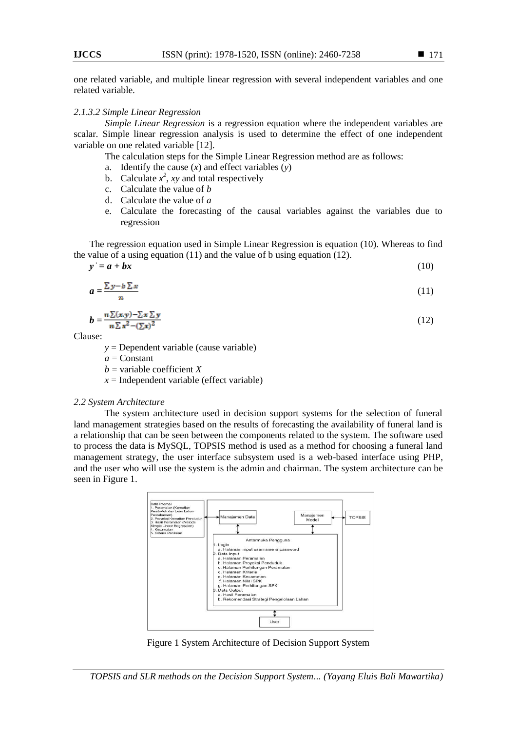#### *2.1.3.2 Simple Linear Regression*

*Simple Linear Regression* is a regression equation where the independent variables are scalar. Simple linear regression analysis is used to determine the effect of one independent variable on one related variable [12].

The calculation steps for the Simple Linear Regression method are as follows:

- a. Identify the cause (*x*) and effect variables (*y*)
- b. Calculate  $x^2$ , *xy* and total respectively
- c. Calculate the value of *b*
- d. Calculate the value of *a*
- e. Calculate the forecasting of the causal variables against the variables due to regression

The regression equation used in Simple Linear Regression is equation (10). Whereas to find the value of a using equation (11) and the value of b using equation (12).

 $y' = a + bx$  (10)

$$
a = \frac{\sum y - b \sum x}{(11)}
$$

$$
b = \frac{n \sum (x, y) - \sum x \sum y}{n \sum x^2 - (\sum x)^2} \tag{12}
$$

Clause:

*y* = Dependent variable (cause variable)

 $a =$ Constant

 $b =$ variable coefficient *X* 

 $x =$ Independent variable (effect variable)

#### *2.2 System Architecture*

The system architecture used in decision support systems for the selection of funeral land management strategies based on the results of forecasting the availability of funeral land is a relationship that can be seen between the components related to the system. The software used to process the data is MySQL, TOPSIS method is used as a method for choosing a funeral land management strategy, the user interface subsystem used is a web-based interface using PHP, and the user who will use the system is the admin and chairman. The system architecture can be seen in Figure 1.



Figure 1 System Architecture of Decision Support System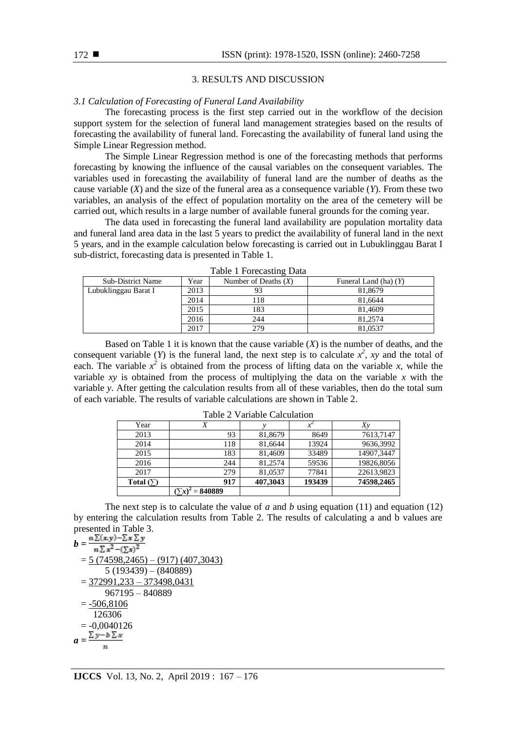#### 3. RESULTS AND DISCUSSION

#### *3.1 Calculation of Forecasting of Funeral Land Availability*

The forecasting process is the first step carried out in the workflow of the decision support system for the selection of funeral land management strategies based on the results of forecasting the availability of funeral land. Forecasting the availability of funeral land using the Simple Linear Regression method.

The Simple Linear Regression method is one of the forecasting methods that performs forecasting by knowing the influence of the causal variables on the consequent variables. The variables used in forecasting the availability of funeral land are the number of deaths as the cause variable (*X*) and the size of the funeral area as a consequence variable (*Y*). From these two variables, an analysis of the effect of population mortality on the area of the cemetery will be carried out, which results in a large number of available funeral grounds for the coming year.

The data used in forecasting the funeral land availability are population mortality data and funeral land area data in the last 5 years to predict the availability of funeral land in the next 5 years, and in the example calculation below forecasting is carried out in Lubuklinggau Barat I sub-district, forecasting data is presented in Table 1.

| $14010 + 10100$          |      |                        |                         |  |  |  |  |
|--------------------------|------|------------------------|-------------------------|--|--|--|--|
| <b>Sub-District Name</b> | Year | Number of Deaths $(X)$ | Funeral Land (ha) $(Y)$ |  |  |  |  |
| Lubuklinggau Barat I     | 2013 |                        | 81,8679                 |  |  |  |  |
|                          | 2014 | 118                    | 81.6644                 |  |  |  |  |
|                          | 2015 | 183                    | 81.4609                 |  |  |  |  |
|                          | 2016 | 244                    | 81.2574                 |  |  |  |  |
|                          | 2017 | 279                    | 81.0537                 |  |  |  |  |

Table 1 Forecasting Data

Based on Table 1 it is known that the cause variable  $(X)$  is the number of deaths, and the consequent variable (*Y*) is the funeral land, the next step is to calculate  $x^2$ , *xy* and the total of each. The variable  $x^2$  is obtained from the process of lifting data on the variable *x*, while the variable *xy* is obtained from the process of multiplying the data on the variable *x* with the variable *y*. After getting the calculation results from all of these variables, then do the total sum of each variable. The results of variable calculations are shown in Table 2.

| $1$ avit $2 \nu$ allable Calculation |               |          |        |             |  |  |  |
|--------------------------------------|---------------|----------|--------|-------------|--|--|--|
| Year                                 |               |          |        | $X_{\rm V}$ |  |  |  |
| 2013                                 | 93            | 81,8679  | 8649   | 7613,7147   |  |  |  |
| 2014                                 | 118           | 81,6644  | 13924  | 9636,3992   |  |  |  |
| 2015                                 | 183           | 81.4609  | 33489  | 14907,3447  |  |  |  |
| 2016                                 | 244           | 81.2574  | 59536  | 19826,8056  |  |  |  |
| 2017                                 | 279           | 81,0537  | 77841  | 22613,9823  |  |  |  |
| Total $(5)$                          | 917           | 407,3043 | 193439 | 74598,2465  |  |  |  |
|                                      | 840889<br>$=$ |          |        |             |  |  |  |

Table 2 Variable Calculation

The next step is to calculate the value of *a* and *b* using equation (11) and equation (12) by entering the calculation results from Table 2. The results of calculating a and b values are presented in Table 3.

$$
b = \frac{n \sum (x,y) - \sum x \sum y}{n \sum x^2 - (\sum x)^2}
$$
  
=  $\frac{5 (74598,2465) - (917) (407,3043)}{5 (193439) - (840889)}$   
=  $\frac{372991,233 - 373498,0431}{967195 - 840889}$   
=  $\frac{-506,8106}{126306}$   
=  $-0,0040126$   
 $a = \frac{\sum y - b \sum x}{n}$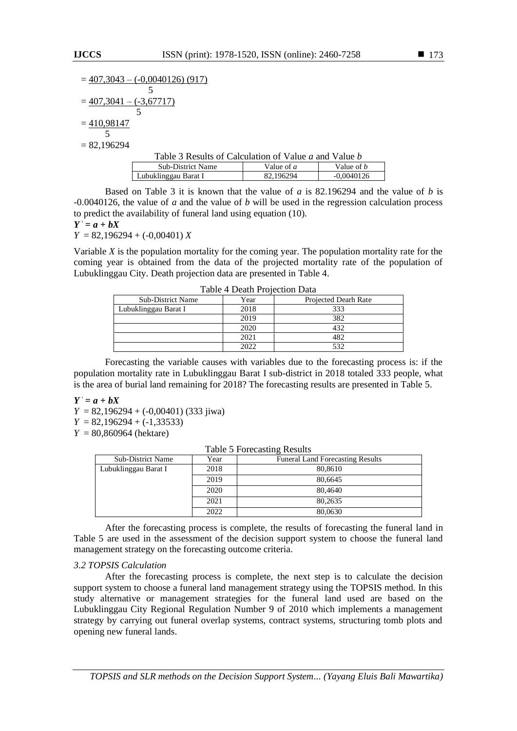$$
=\frac{407,3043 - (-0,0040126)(917)}{5}
$$

$$
= \frac{407,3041 - (-3,67717)}{5}
$$

$$
= \frac{410,98147}{5}
$$

 $= 82,196294$ 

| Table 3 Results of Calculation of Value a and Value b |              |                   |  |  |  |  |
|-------------------------------------------------------|--------------|-------------------|--|--|--|--|
| <b>Sub-District Name</b>                              | Value of $a$ | Value of <i>b</i> |  |  |  |  |
| Lubuklinggau Barat I                                  | 82.196294    | $-0.0040126$      |  |  |  |  |

Based on Table 3 it is known that the value of *a* is 82.196294 and the value of *b* is -0.0040126, the value of *a* and the value of *b* will be used in the regression calculation process to predict the availability of funeral land using equation (10).

 $Y' = a + bX$ 

*Y* = 82,196294 + (-0,00401) *X*

Variable *X* is the population mortality for the coming year. The population mortality rate for the coming year is obtained from the data of the projected mortality rate of the population of Lubuklinggau City. Death projection data are presented in Table 4.

| Tuble T Death I Tolection Dutu |                      |  |  |  |  |  |
|--------------------------------|----------------------|--|--|--|--|--|
| Year                           | Projected Dearh Rate |  |  |  |  |  |
| 2018                           | 333                  |  |  |  |  |  |
| 2019                           | 382                  |  |  |  |  |  |
| 2020                           | 432                  |  |  |  |  |  |
| 2021                           | 482                  |  |  |  |  |  |
| 2022                           | 532                  |  |  |  |  |  |
|                                |                      |  |  |  |  |  |

Table 4 Death Projection Data

Forecasting the variable causes with variables due to the forecasting process is: if the population mortality rate in Lubuklinggau Barat I sub-district in 2018 totaled 333 people, what is the area of burial land remaining for 2018? The forecasting results are presented in Table 5.

 $Y' = a + bX$ 

*Y* = 82,196294 + (-0,00401) (333 jiwa)  $Y = 82,196294 + (-1,33533)$ 

 $Y = 80,860964$  (hektare)

| <b>Sub-District Name</b> | Year | <b>Funeral Land Forecasting Results</b> |
|--------------------------|------|-----------------------------------------|
| Lubuklinggau Barat I     | 2018 | 80,8610                                 |
|                          | 2019 | 80,6645                                 |
|                          | 2020 | 80,4640                                 |
|                          | 2021 | 80,2635                                 |
|                          | 2022 | 80,0630                                 |

After the forecasting process is complete, the results of forecasting the funeral land in Table 5 are used in the assessment of the decision support system to choose the funeral land management strategy on the forecasting outcome criteria.

# *3.2 TOPSIS Calculation*

After the forecasting process is complete, the next step is to calculate the decision support system to choose a funeral land management strategy using the TOPSIS method. In this study alternative or management strategies for the funeral land used are based on the Lubuklinggau City Regional Regulation Number 9 of 2010 which implements a management strategy by carrying out funeral overlap systems, contract systems, structuring tomb plots and opening new funeral lands.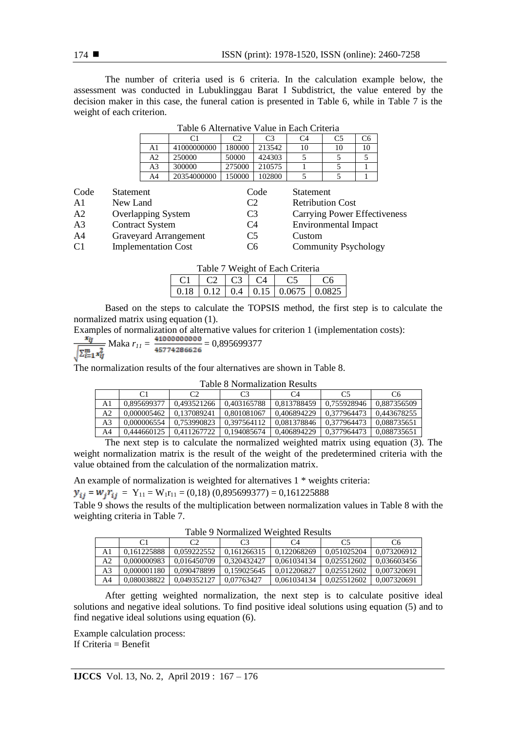The number of criteria used is 6 criteria. In the calculation example below, the assessment was conducted in Lubuklinggau Barat I Subdistrict, the value entered by the decision maker in this case, the funeral cation is presented in Table 6, while in Table 7 is the weight of each criterion.

| Table o Anchian ve Value III Lach Chicha |             |        |                |    |                |    |  |  |
|------------------------------------------|-------------|--------|----------------|----|----------------|----|--|--|
|                                          |             | C2     | C <sub>3</sub> | C4 | C <sub>5</sub> | Cб |  |  |
| A1                                       | 41000000000 | 180000 | 213542         | 10 | 10             | 10 |  |  |
| A2                                       | 250000      | 50000  | 424303         |    |                |    |  |  |
| A3                                       | 300000      | 275000 | 210575         |    |                |    |  |  |
| A4                                       | 20354000000 | 150000 | 102800         |    |                |    |  |  |

Table 6 Alternative Value in Each Criteria

| Code           | Statement                  | Code           | <b>Statement</b>             |
|----------------|----------------------------|----------------|------------------------------|
| $\mathbf{A}1$  | New Land                   | C2             | <b>Retribution Cost</b>      |
| A <sub>2</sub> | <b>Overlapping System</b>  | C <sub>3</sub> | Carrying Power Effectiveness |
| A <sub>3</sub> | <b>Contract System</b>     | C4             | <b>Environmental Impact</b>  |
| A4             | Graveyard Arrangement      | C <sub>5</sub> | Custom                       |
| C <sub>1</sub> | <b>Implementation Cost</b> | C6             | <b>Community Psychology</b>  |

|  |  | Table 7 Weight of Each Criteria |  |
|--|--|---------------------------------|--|
|--|--|---------------------------------|--|

| - 62 163 |  |                                              |  |
|----------|--|----------------------------------------------|--|
|          |  | $0.18$   0.12   0.4   0.15   0.0675   0.0825 |  |

Based on the steps to calculate the TOPSIS method, the first step is to calculate the normalized matrix using equation (1).

Examples of normalization of alternative values for criterion 1 (implementation costs):

$$
\frac{x_{ij}}{\sqrt{\sum_{i=1}^{m} x_{ij}^2}}
$$
 Maka  $r_{11} = \frac{41000000000}{45774286626} = 0,895699377$ 

The normalization results of the four alternatives are shown in Table 8.

Table 8 Normalization Results

|    |             | C2          | C3          | C4          | C5          | C6          |
|----|-------------|-------------|-------------|-------------|-------------|-------------|
| A1 | 0.895699377 | 0.493521266 | 0.403165788 | 0.813788459 | 0.755928946 | 0.887356509 |
| A2 | 0.000005462 | 0.137089241 | 0.801081067 | 0.406894229 | 0.377964473 | 0.443678255 |
| A3 | 0.000006554 | 0.753990823 | 0.397564112 | 0.081378846 | 0.377964473 | 0.088735651 |
| A4 | 0.444660125 | 0.411267722 | 0.194085674 | 0.406894229 | 0.377964473 | 0.088735651 |

The next step is to calculate the normalized weighted matrix using equation (3). The weight normalization matrix is the result of the weight of the predetermined criteria with the value obtained from the calculation of the normalization matrix.

An example of normalization is weighted for alternatives 1 \* weights criteria:

 $y_{ij} = w_j r_{ij} = Y_{11} = W_1 r_{11} = (0.18) (0.895699377) = 0.161225888$ 

Table 9 shows the results of the multiplication between normalization values in Table 8 with the weighting criteria in Table 7.

Table 9 Normalized Weighted Results

|                |             | C2          | C <sub>3</sub> | C4          | C5          | C6          |  |  |  |
|----------------|-------------|-------------|----------------|-------------|-------------|-------------|--|--|--|
| A1             | 0.161225888 | 0.059222552 | 0.161266315    | 0.122068269 | 0.051025204 | 0.073206912 |  |  |  |
| A2             | 0.000000983 | 0.016450709 | 0.320432427    | 0.061034134 | 0.025512602 | 0.036603456 |  |  |  |
| A <sub>3</sub> | 0.000001180 | 0.090478899 | 0.159025645    | 0.012206827 | 0.025512602 | 0.007320691 |  |  |  |
| A4             | 0.080038822 | 0.049352127 | 0.07763427     | 0.061034134 | 0.025512602 | 0.007320691 |  |  |  |

After getting weighted normalization, the next step is to calculate positive ideal solutions and negative ideal solutions. To find positive ideal solutions using equation (5) and to find negative ideal solutions using equation (6).

Example calculation process: If Criteria  $=$  Benefit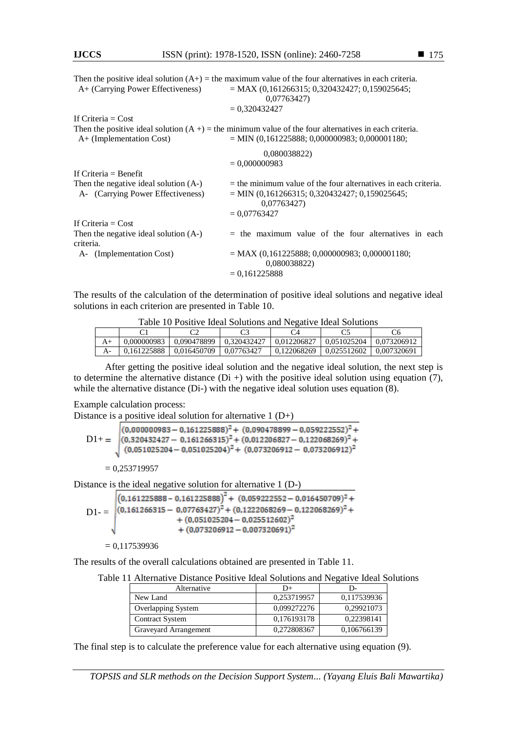|                                                                              | Then the positive ideal solution $(A+)$ = the maximum value of the four alternatives in each criteria.                             |  |  |
|------------------------------------------------------------------------------|------------------------------------------------------------------------------------------------------------------------------------|--|--|
| A+ (Carrying Power Effectiveness)                                            | $= MAX (0, 161266315; 0, 320432427; 0, 159025645;$<br>0,07763427)                                                                  |  |  |
|                                                                              | $= 0.320432427$                                                                                                                    |  |  |
| If Criteria $=$ Cost                                                         |                                                                                                                                    |  |  |
|                                                                              | Then the positive ideal solution $(A +)$ = the minimum value of the four alternatives in each criteria.                            |  |  |
| $A+$ (Implementation Cost)                                                   | $=$ MIN (0.161225888; 0.000000983; 0.000001180;                                                                                    |  |  |
|                                                                              | 0,080038822)                                                                                                                       |  |  |
|                                                                              | $= 0,000000983$                                                                                                                    |  |  |
| If Criteria $=$ Benefit                                                      |                                                                                                                                    |  |  |
| Then the negative ideal solution $(A-)$<br>A- (Carrying Power Effectiveness) | $=$ the minimum value of the four alternatives in each criteria.<br>$=$ MIN (0,161266315; 0,320432427; 0,159025645;<br>0,07763427) |  |  |
|                                                                              | $= 0.07763427$                                                                                                                     |  |  |
| If Criteria $=$ Cost                                                         |                                                                                                                                    |  |  |
| Then the negative ideal solution (A-)<br>criteria.                           | $=$ the maximum value of the four alternatives in each                                                                             |  |  |
| A- (Implementation Cost)                                                     | $= MAX (0, 161225888; 0,000000983; 0,000001180;$<br>0,080038822)                                                                   |  |  |
|                                                                              | $= 0.161225888$                                                                                                                    |  |  |
|                                                                              |                                                                                                                                    |  |  |

The results of the calculation of the determination of positive ideal solutions and negative ideal solutions in each criterion are presented in Table 10.

Table 10 Positive Ideal Solutions and Negative Ideal Solutions

| 0.000000983 | $0.090478899$ $0.320432427$ |            | 0.012206827 | 0.051025204   0.073206912 |             |
|-------------|-----------------------------|------------|-------------|---------------------------|-------------|
| 0.161225888 | 0.016450709                 | 0.07763427 | 0.122068269 | $\mid 0.025512602 \mid$   | 0.007320691 |

After getting the positive ideal solution and the negative ideal solution, the next step is to determine the alternative distance (Di +) with the positive ideal solution using equation (7), while the alternative distance (Di-) with the negative ideal solution uses equation (8).

#### Example calculation process:

Distance is a positive ideal solution for alternative 1 (D+)

 $(0,000000983 - 0,161225888)^2 + (0,090478899 - 0,059222552)^2 +$  $(0,320432427 - 0,161266315)^2 + (0,012206827 - 0,122068269)^2 +$  $D1+=$  $(0.051025204 - 0.051025204)^2 + (0.073206912 - 0.073206912)^2$  $= 0,253719957$ 

Distance is the ideal negative solution for alternative 1 (D-)

 $\left[\left(0,161225888 - 0,161225888\right)^2 + \left(0,059222552 - 0,016450709\right)^2 + \right]$  $D1 = \sqrt{(0.161266315 - 0.07763427)^2 + (0.1222068269 - 0.122068269)^2 +}$  $+(0.051025204-0.025512602)^2$  $+$  (0,073206912 - 0,007320691)<sup>2</sup>

```
= 0,117539936
```
The results of the overall calculations obtained are presented in Table 11.

| Alternative            | D+          | D-          |
|------------------------|-------------|-------------|
| New Land               | 0,253719957 | 0,117539936 |
| Overlapping System     | 0,099272276 | 0.29921073  |
| <b>Contract System</b> | 0,176193178 | 0.22398141  |
| Graveyard Arrangement  | 0.272808367 | 0,106766139 |

The final step is to calculate the preference value for each alternative using equation (9).